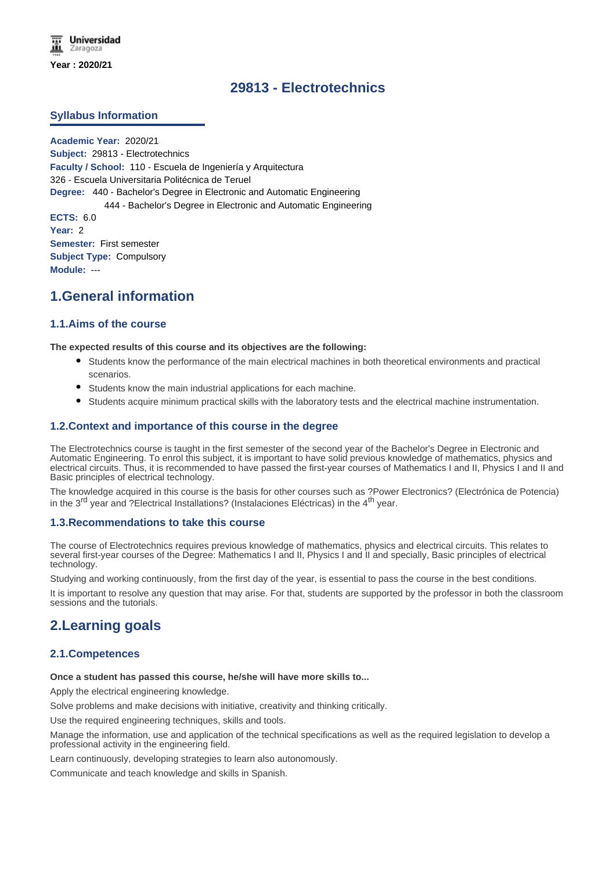# **29813 - Electrotechnics**

## **Syllabus Information**

**Academic Year:** 2020/21 **Subject:** 29813 - Electrotechnics **Faculty / School:** 110 - Escuela de Ingeniería y Arquitectura 326 - Escuela Universitaria Politécnica de Teruel **Degree:** 440 - Bachelor's Degree in Electronic and Automatic Engineering 444 - Bachelor's Degree in Electronic and Automatic Engineering **ECTS:** 6.0 **Year:** 2 **Semester:** First semester **Subject Type:** Compulsory **Module:** ---

# **1.General information**

# **1.1.Aims of the course**

#### **The expected results of this course and its objectives are the following:**

- Students know the performance of the main electrical machines in both theoretical environments and practical scenarios.
- Students know the main industrial applications for each machine.
- Students acquire minimum practical skills with the laboratory tests and the electrical machine instrumentation.

## **1.2.Context and importance of this course in the degree**

The Electrotechnics course is taught in the first semester of the second year of the Bachelor's Degree in Electronic and Automatic Engineering. To enrol this subject, it is important to have solid previous knowledge of mathematics, physics and electrical circuits. Thus, it is recommended to have passed the first-year courses of Mathematics I and II, Physics I and II and Basic principles of electrical technology.

The knowledge acquired in this course is the basis for other courses such as ?Power Electronics? (Electrónica de Potencia) in the  $3<sup>rd</sup>$  year and ?Electrical Installations? (Instalaciones Eléctricas) in the  $4<sup>th</sup>$  year.

#### **1.3.Recommendations to take this course**

The course of Electrotechnics requires previous knowledge of mathematics, physics and electrical circuits. This relates to several first-year courses of the Degree: Mathematics I and II, Physics I and II and specially, Basic principles of electrical technology.

Studying and working continuously, from the first day of the year, is essential to pass the course in the best conditions.

It is important to resolve any question that may arise. For that, students are supported by the professor in both the classroom sessions and the tutorials.

# **2.Learning goals**

## **2.1.Competences**

#### **Once a student has passed this course, he/she will have more skills to...**

Apply the electrical engineering knowledge.

Solve problems and make decisions with initiative, creativity and thinking critically.

Use the required engineering techniques, skills and tools.

Manage the information, use and application of the technical specifications as well as the required legislation to develop a professional activity in the engineering field.

Learn continuously, developing strategies to learn also autonomously.

Communicate and teach knowledge and skills in Spanish.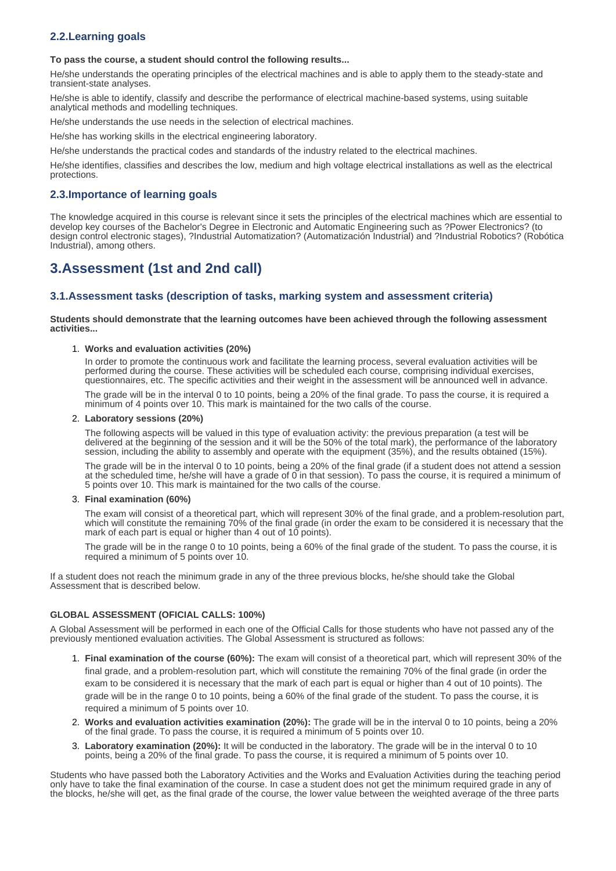# **2.2.Learning goals**

#### **To pass the course, a student should control the following results...**

He/she understands the operating principles of the electrical machines and is able to apply them to the steady-state and transient-state analyses.

He/she is able to identify, classify and describe the performance of electrical machine-based systems, using suitable analytical methods and modelling techniques.

He/she understands the use needs in the selection of electrical machines.

He/she has working skills in the electrical engineering laboratory.

He/she understands the practical codes and standards of the industry related to the electrical machines.

He/she identifies, classifies and describes the low, medium and high voltage electrical installations as well as the electrical protections.

# **2.3.Importance of learning goals**

The knowledge acquired in this course is relevant since it sets the principles of the electrical machines which are essential to develop key courses of the Bachelor's Degree in Electronic and Automatic Engineering such as ?Power Electronics? (to design control electronic stages), ?Industrial Automatization? (Automatización Industrial) and ?Industrial Robotics? (Robótica Industrial), among others.

# **3.Assessment (1st and 2nd call)**

# **3.1.Assessment tasks (description of tasks, marking system and assessment criteria)**

**Students should demonstrate that the learning outcomes have been achieved through the following assessment activities...**

#### 1. **Works and evaluation activities (20%)**

In order to promote the continuous work and facilitate the learning process, several evaluation activities will be performed during the course. These activities will be scheduled each course, comprising individual exercises, questionnaires, etc. The specific activities and their weight in the assessment will be announced well in advance.

The grade will be in the interval 0 to 10 points, being a 20% of the final grade. To pass the course, it is required a minimum of 4 points over 10. This mark is maintained for the two calls of the course.

#### 2. **Laboratory sessions (20%)**

The following aspects will be valued in this type of evaluation activity: the previous preparation (a test will be delivered at the beginning of the session and it will be the 50% of the total mark), the performance of the laboratory session, including the ability to assembly and operate with the equipment (35%), and the results obtained (15%).

The grade will be in the interval 0 to 10 points, being a 20% of the final grade (if a student does not attend a session at the scheduled time, he/she will have a grade of 0 in that session). To pass the course, it is required a minimum of 5 points over 10. This mark is maintained for the two calls of the course.

#### 3. **Final examination (60%)**

The exam will consist of a theoretical part, which will represent 30% of the final grade, and a problem-resolution part, which will constitute the remaining 70% of the final grade (in order the exam to be considered it is necessary that the mark of each part is equal or higher than 4 out of 10 points).

The grade will be in the range 0 to 10 points, being a 60% of the final grade of the student. To pass the course, it is required a minimum of 5 points over 10.

If a student does not reach the minimum grade in any of the three previous blocks, he/she should take the Global Assessment that is described below.

#### **GLOBAL ASSESSMENT (OFICIAL CALLS: 100%)**

A Global Assessment will be performed in each one of the Official Calls for those students who have not passed any of the previously mentioned evaluation activities. The Global Assessment is structured as follows:

- 1. **Final examination of the course (60%):** The exam will consist of a theoretical part, which will represent 30% of the final grade, and a problem-resolution part, which will constitute the remaining 70% of the final grade (in order the exam to be considered it is necessary that the mark of each part is equal or higher than 4 out of 10 points). The grade will be in the range 0 to 10 points, being a 60% of the final grade of the student. To pass the course, it is required a minimum of 5 points over 10.
- 2. **Works and evaluation activities examination (20%):** The grade will be in the interval 0 to 10 points, being a 20% of the final grade. To pass the course, it is required a minimum of 5 points over 10.
- 3. **Laboratory examination (20%):** It will be conducted in the laboratory. The grade will be in the interval 0 to 10 points, being a 20% of the final grade. To pass the course, it is required a minimum of 5 points over 10.

Students who have passed both the Laboratory Activities and the Works and Evaluation Activities during the teaching period only have to take the final examination of the course. In case a student does not get the minimum required grade in any of the blocks, he/she will get, as the final grade of the course, the lower value between the weighted average of the three parts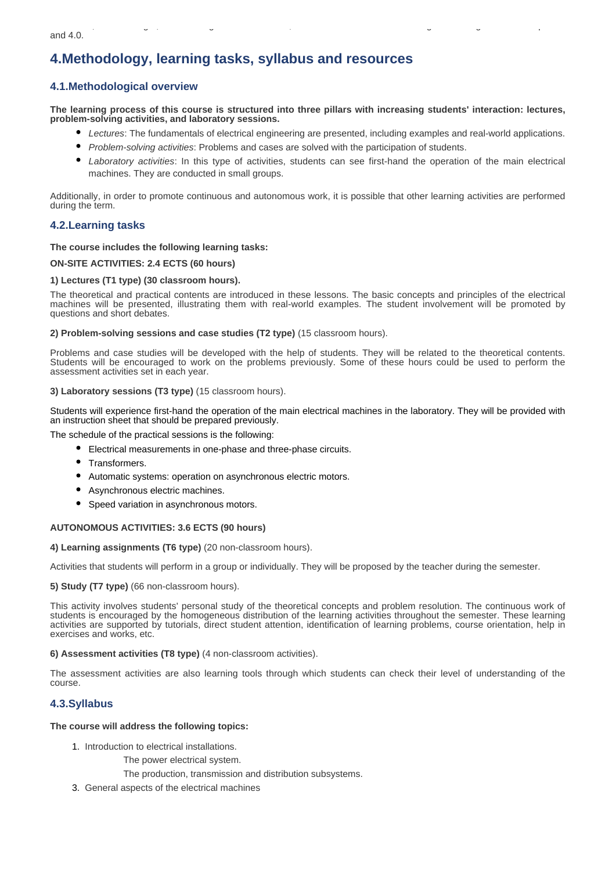# **4.Methodology, learning tasks, syllabus and resources**

# **4.1.Methodological overview**

**The learning process of this course is structured into three pillars with increasing students' interaction: lectures, problem-solving activities, and laboratory sessions.** 

- *Lectures*: The fundamentals of electrical engineering are presented, including examples and real-world applications.
- *Problem-solving activities*: Problems and cases are solved with the participation of students.
- *Laboratory activities*: In this type of activities, students can see first-hand the operation of the main electrical machines. They are conducted in small groups.

Additionally, in order to promote continuous and autonomous work, it is possible that other learning activities are performed during the term.

# **4.2.Learning tasks**

### **The course includes the following learning tasks:**

### **ON-SITE ACTIVITIES: 2.4 ECTS (60 hours)**

### **1) Lectures (T1 type) (30 classroom hours).**

The theoretical and practical contents are introduced in these lessons. The basic concepts and principles of the electrical machines will be presented, illustrating them with real-world examples. The student involvement will be promoted by questions and short debates.

**2) Problem-solving sessions and case studies (T2 type)** (15 classroom hours).

Problems and case studies will be developed with the help of students. They will be related to the theoretical contents. Students will be encouraged to work on the problems previously. Some of these hours could be used to perform the assessment activities set in each year.

### **3) Laboratory sessions (T3 type)** (15 classroom hours).

Students will experience first-hand the operation of the main electrical machines in the laboratory. They will be provided with an instruction sheet that should be prepared previously.

The schedule of the practical sessions is the following:

- Electrical measurements in one-phase and three-phase circuits.
- Transformers.
- $\bullet$ Automatic systems: operation on asynchronous electric motors.
- Asynchronous electric machines.
- Speed variation in asynchronous motors.

## **AUTONOMOUS ACTIVITIES: 3.6 ECTS (90 hours)**

#### **4) Learning assignments (T6 type)** (20 non-classroom hours).

Activities that students will perform in a group or individually. They will be proposed by the teacher during the semester.

**5) Study (T7 type)** (66 non-classroom hours).

This activity involves students' personal study of the theoretical concepts and problem resolution. The continuous work of students is encouraged by the homogeneous distribution of the learning activities throughout the semester. These learning activities are supported by tutorials, direct student attention, identification of learning problems, course orientation, help in exercises and works, etc.

**6) Assessment activities (T8 type)** (4 non-classroom activities).

The assessment activities are also learning tools through which students can check their level of understanding of the course.

# **4.3.Syllabus**

#### **The course will address the following topics:**

- 1. Introduction to electrical installations.
	- The power electrical system.
	- The production, transmission and distribution subsystems.
- 3. General aspects of the electrical machines